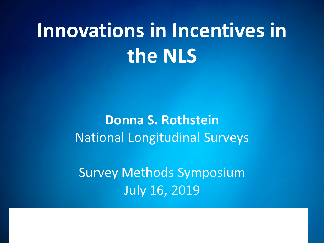# **Innovations in Incentives in the NLS**

**Donna S. Rothstein** National Longitudinal Surveys

Survey Methods Symposium July 16, 2019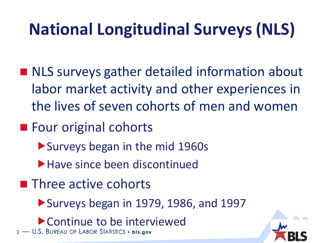# **National Longitudinal Surveys (NLS)**

- NLS surveys gather detailed information about labor market activity and other experiences in the lives of seven cohorts of men and women
- Four original cohorts
	- Surveys began in the mid 1960s
	- ▶ Have since been discontinued
- **Three active cohorts** 
	- Surveys began in 1979, 1986, and 1997
	- Continue to be interviewed

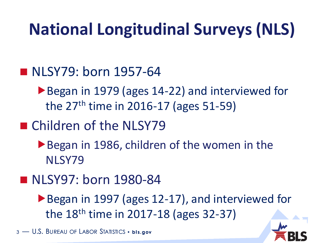## **National Longitudinal Surveys (NLS)**

#### **NLSY79: born 1957-64**

▶ Began in 1979 (ages 14-22) and interviewed for the  $27<sup>th</sup>$  time in 2016-17 (ages 51-59)

#### ■ Children of the NLSY79

▶ Began in 1986, children of the women in the NLSY79

#### ■ NLSY97: born 1980-84

▶ Began in 1997 (ages 12-17), and interviewed for the  $18<sup>th</sup>$  time in 2017-18 (ages 32-37)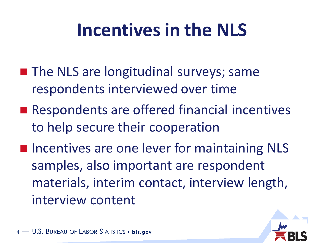# **Incentives in the NLS**

- **The NLS are longitudinal surveys; same** respondents interviewed over time
- Respondents are offered financial incentives to help secure their cooperation
- **Incentives are one lever for maintaining NLS** samples, also important are respondent materials, interim contact, interview length, interview content

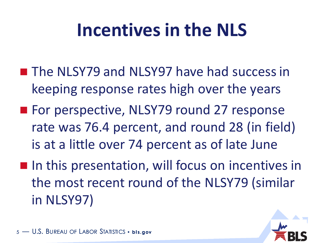# **Incentives in the NLS**

- The NLSY79 and NLSY97 have had success in keeping response rates high over the years
- For perspective, NLSY79 round 27 response rate was 76.4 percent, and round 28 (in field) is at a little over 74 percent as of late June
- **If** In this presentation, will focus on incentives in the most recent round of the NLSY79 (similar in NLSY97)

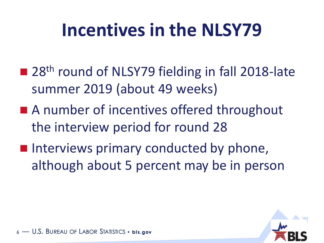# **Incentives in the NLSY79**

- 28<sup>th</sup> round of NLSY79 fielding in fall 2018-late summer 2019 (about 49 weeks)
- A number of incentives offered throughout the interview period for round 28
- **Interviews primary conducted by phone,** although about 5 percent may be in person

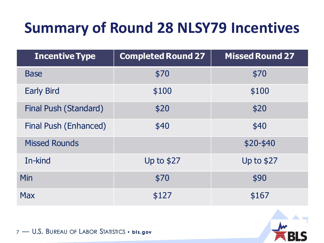### **Summary of Round 28 NLSY79 Incentives**

| <b>Incentive Type</b>        | <b>Completed Round 27</b> | <b>Missed Round 27</b> |
|------------------------------|---------------------------|------------------------|
| <b>Base</b>                  | \$70                      | \$70                   |
| <b>Early Bird</b>            | \$100                     | \$100                  |
| <b>Final Push (Standard)</b> | \$20                      | \$20                   |
| <b>Final Push (Enhanced)</b> | \$40                      | \$40                   |
| <b>Missed Rounds</b>         |                           | $$20-$40$              |
| In-kind                      | <b>Up to \$27</b>         | <b>Up to \$27</b>      |
| Min                          | \$70                      | \$90                   |
| <b>Max</b>                   | \$127                     | \$167                  |

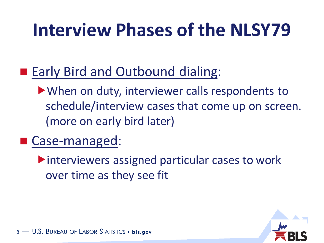# **Interview Phases of the NLSY79**

#### ■ Early Bird and Outbound dialing:

When on duty, interviewer calls respondents to schedule/interview cases that come up on screen. (more on early bird later)

#### ■ Case-managed:

interviewers assigned particular cases to work over time as they see fit

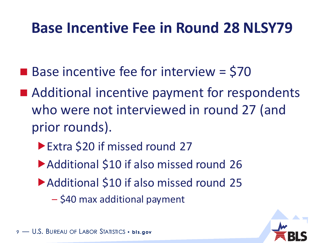### **Base Incentive Fee in Round 28 NLSY79**

- $\blacksquare$  Base incentive fee for interview = \$70
- Additional incentive payment for respondents who were not interviewed in round 27 (and prior rounds).
	- ▶ Extra \$20 if missed round 27
	- Additional \$10 if also missed round 26
	- ▶ Additional \$10 if also missed round 25
		- \$40 max additional payment

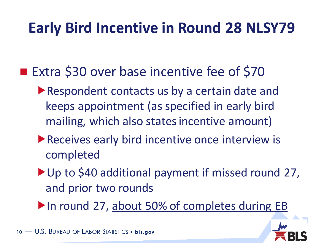### **Early Bird Incentive in Round 28 NLSY79**

- Extra \$30 over base incentive fee of \$70
	- Respondent contacts us by a certain date and keeps appointment (as specified in early bird mailing, which also states incentive amount)
	- **Receives early bird incentive once interview is** completed
	- ▶ Up to \$40 additional payment if missed round 27, and prior two rounds
	- In round 27, about 50% of completes during EB

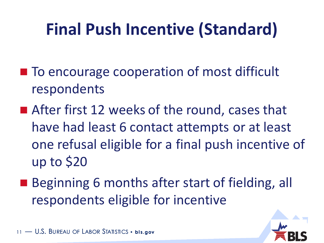## **Final Push Incentive (Standard)**

- To encourage cooperation of most difficult respondents
- After first 12 weeks of the round, cases that have had least 6 contact attempts or at least one refusal eligible for a final push incentive of up to \$20
- Beginning 6 months after start of fielding, all respondents eligible for incentive

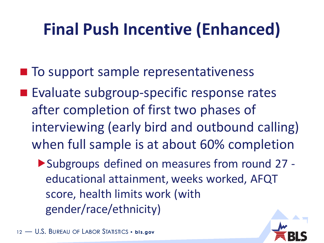## **Final Push Incentive (Enhanced)**

- To support sample representativeness
- **Evaluate subgroup-specific response rates** after completion of first two phases of interviewing (early bird and outbound calling) when full sample is at about 60% completion
	- Subgroups defined on measures from round 27 educational attainment, weeks worked, AFQT score, health limits work (with gender/race/ethnicity)

 $-$  U.S. Bureau of Labor Statistics • **bis.gov**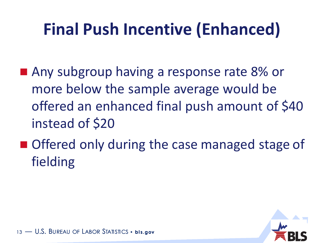## **Final Push Incentive (Enhanced)**

- Any subgroup having a response rate 8% or more below the sample average would be offered an enhanced final push amount of \$40 instead of \$20
- Offered only during the case managed stage of fielding

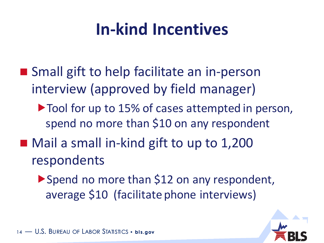## **In-kind Incentives**

- Small gift to help facilitate an in-person interview (approved by field manager)
	- $\triangleright$  Tool for up to 15% of cases attempted in person, spend no more than \$10 on any respondent
- Mail a small in-kind gift to up to 1,200 respondents
	- ▶ Spend no more than \$12 on any respondent, average \$10 (facilitate phone interviews)

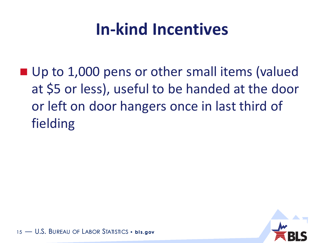## **In-kind Incentives**

■ Up to 1,000 pens or other small items (valued at \$5 or less), useful to be handed at the door or left on door hangers once in last third of fielding

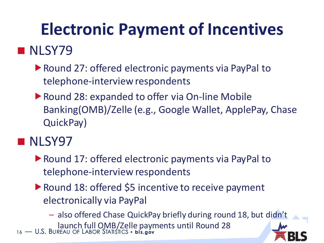### **NLSY79**

- ▶ Round 27: offered electronic payments via PayPal to telephone-interview respondents
- ▶ Round 28: expanded to offer via On-line Mobile Banking(OMB)/Zelle (e.g., Google Wallet, ApplePay, Chase QuickPay)

#### **NLSY97**

- ▶ Round 17: offered electronic payments via PayPal to telephone-interview respondents
- ▶ Round 18: offered \$5 incentive to receive payment electronically via PayPal

<sup>16</sup> — U.S. BUREAU OF LABOR STATISTICS • **bl s.gov** – also offered Chase QuickPay briefly during round 18, but didn't launch full OMB/Zelle payments until Round 28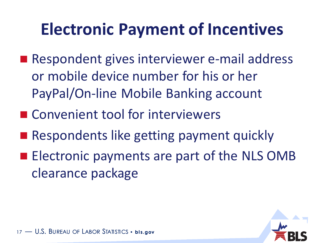- Respondent gives interviewer e-mail address or mobile device number for his or her PayPal/On-line Mobile Banking account
- Convenient tool for interviewers
- **Respondents like getting payment quickly**
- **Electronic payments are part of the NLS OMB** clearance package

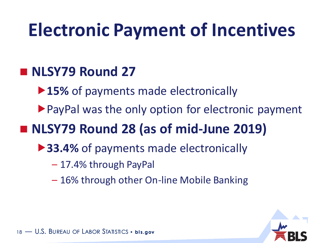#### **NLSY79 Round 27**

▶**15%** of payments made electronically

▶ PayPal was the only option for electronic payment

### **NLSY79 Round 28 (as of mid-June 2019)**

- **▶ 33.4%** of payments made electronically
	- 17.4% through PayPal
	- 16% through other On-line Mobile Banking

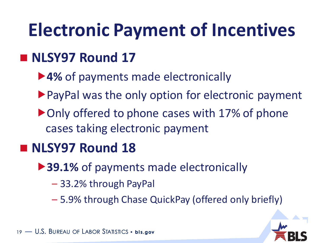### **NLSY97 Round 17**

- ▶ 4% of payments made electronically
- ▶ PayPal was the only option for electronic payment
- ▶ Only offered to phone cases with 17% of phone cases taking electronic payment

### **NLSY97 Round 18**

- **▶ 39.1%** of payments made electronically
	- 33.2% through PayPal
	- 5.9% through Chase QuickPay (offered only briefly)

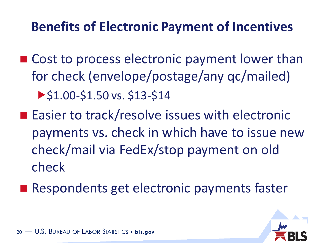#### **Benefits of Electronic Payment of Incentives**

- Cost to process electronic payment lower than for check (envelope/postage/any qc/mailed)  $\blacktriangleright$  \$1.00-\$1.50 vs. \$13-\$14
- Easier to track/resolve issues with electronic payments vs. check in which have to issue new check/mail via FedEx/stop payment on old check
- Respondents get electronic payments faster